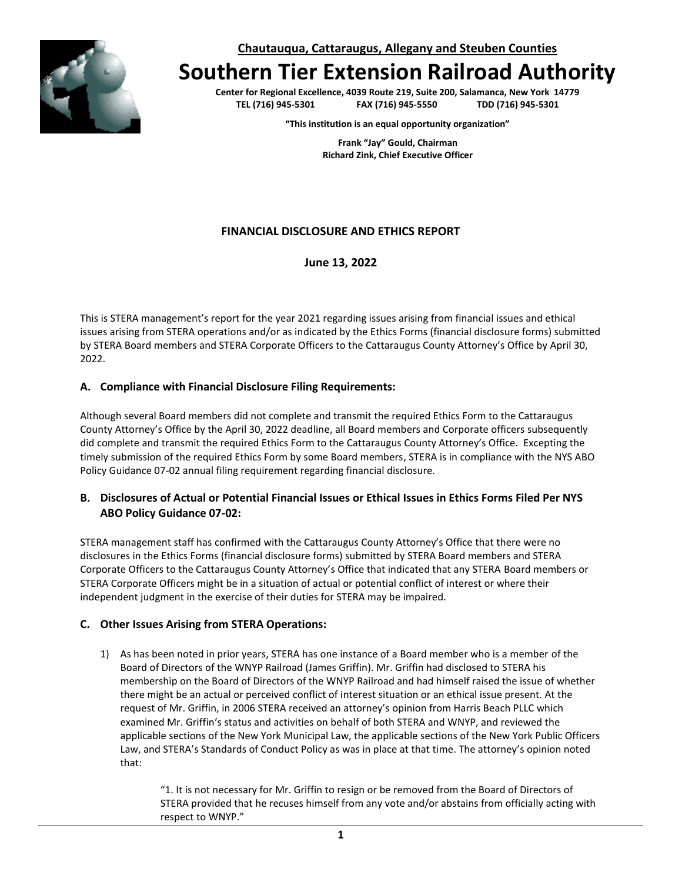**Chautauqua, Cattaraugus, Allegany and Steuben Counties**



# **Southern Tier Extension Railroad Authority**

**Center for Regional Excellence, 4039 Route 219, Suite 200, Salamanca, New York 14779 TEL (716) 945-5301 FAX (716) 945-5550 TDD (716) 945-5301**

**"This institution is an equal opportunity organization"**

**Frank "Jay" Gould, Chairman Richard Zink, Chief Executive Officer**

# **FINANCIAL DISCLOSURE AND ETHICS REPORT**

**June 13, 2022**

This is STERA management's report for the year 2021 regarding issues arising from financial issues and ethical issues arising from STERA operations and/or as indicated by the Ethics Forms (financial disclosure forms) submitted by STERA Board members and STERA Corporate Officers to the Cattaraugus County Attorney's Office by April 30, 2022.

#### **A. Compliance with Financial Disclosure Filing Requirements:**

Although several Board members did not complete and transmit the required Ethics Form to the Cattaraugus County Attorney's Office by the April 30, 2022 deadline, all Board members and Corporate officers subsequently did complete and transmit the required Ethics Form to the Cattaraugus County Attorney's Office. Excepting the timely submission of the required Ethics Form by some Board members, STERA is in compliance with the NYS ABO Policy Guidance 07-02 annual filing requirement regarding financial disclosure.

### **B. Disclosures of Actual or Potential Financial Issues or Ethical Issues in Ethics Forms Filed Per NYS ABO Policy Guidance 07-02:**

STERA management staff has confirmed with the Cattaraugus County Attorney's Office that there were no disclosures in the Ethics Forms (financial disclosure forms) submitted by STERA Board members and STERA Corporate Officers to the Cattaraugus County Attorney's Office that indicated that any STERA Board members or STERA Corporate Officers might be in a situation of actual or potential conflict of interest or where their independent judgment in the exercise of their duties for STERA may be impaired.

### **C. Other Issues Arising from STERA Operations:**

1) As has been noted in prior years, STERA has one instance of a Board member who is a member of the Board of Directors of the WNYP Railroad (James Griffin). Mr. Griffin had disclosed to STERA his membership on the Board of Directors of the WNYP Railroad and had himself raised the issue of whether there might be an actual or perceived conflict of interest situation or an ethical issue present. At the request of Mr. Griffin, in 2006 STERA received an attorney's opinion from Harris Beach PLLC which examined Mr. Griffin's status and activities on behalf of both STERA and WNYP, and reviewed the applicable sections of the New York Municipal Law, the applicable sections of the New York Public Officers Law, and STERA's Standards of Conduct Policy as was in place at that time. The attorney's opinion noted that:

> "1. It is not necessary for Mr. Griffin to resign or be removed from the Board of Directors of STERA provided that he recuses himself from any vote and/or abstains from officially acting with respect to WNYP."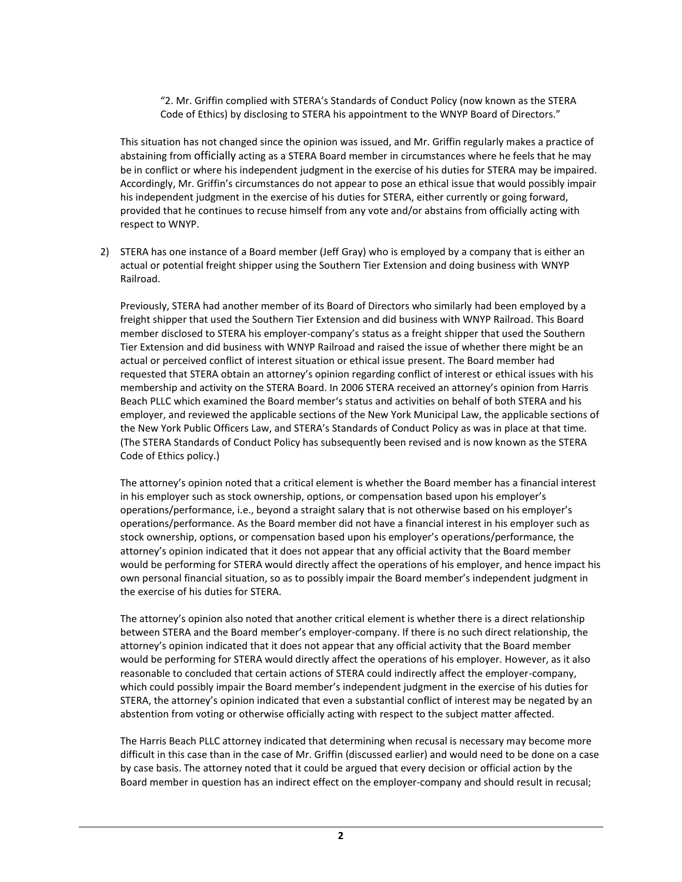"2. Mr. Griffin complied with STERA's Standards of Conduct Policy (now known as the STERA Code of Ethics) by disclosing to STERA his appointment to the WNYP Board of Directors."

This situation has not changed since the opinion was issued, and Mr. Griffin regularly makes a practice of abstaining from officially acting as a STERA Board member in circumstances where he feels that he may be in conflict or where his independent judgment in the exercise of his duties for STERA may be impaired. Accordingly, Mr. Griffin's circumstances do not appear to pose an ethical issue that would possibly impair his independent judgment in the exercise of his duties for STERA, either currently or going forward, provided that he continues to recuse himself from any vote and/or abstains from officially acting with respect to WNYP.

2) STERA has one instance of a Board member (Jeff Gray) who is employed by a company that is either an actual or potential freight shipper using the Southern Tier Extension and doing business with WNYP Railroad.

Previously, STERA had another member of its Board of Directors who similarly had been employed by a freight shipper that used the Southern Tier Extension and did business with WNYP Railroad. This Board member disclosed to STERA his employer-company's status as a freight shipper that used the Southern Tier Extension and did business with WNYP Railroad and raised the issue of whether there might be an actual or perceived conflict of interest situation or ethical issue present. The Board member had requested that STERA obtain an attorney's opinion regarding conflict of interest or ethical issues with his membership and activity on the STERA Board. In 2006 STERA received an attorney's opinion from Harris Beach PLLC which examined the Board member's status and activities on behalf of both STERA and his employer, and reviewed the applicable sections of the New York Municipal Law, the applicable sections of the New York Public Officers Law, and STERA's Standards of Conduct Policy as was in place at that time. (The STERA Standards of Conduct Policy has subsequently been revised and is now known as the STERA Code of Ethics policy.)

The attorney's opinion noted that a critical element is whether the Board member has a financial interest in his employer such as stock ownership, options, or compensation based upon his employer's operations/performance, i.e., beyond a straight salary that is not otherwise based on his employer's operations/performance. As the Board member did not have a financial interest in his employer such as stock ownership, options, or compensation based upon his employer's operations/performance, the attorney's opinion indicated that it does not appear that any official activity that the Board member would be performing for STERA would directly affect the operations of his employer, and hence impact his own personal financial situation, so as to possibly impair the Board member's independent judgment in the exercise of his duties for STERA.

The attorney's opinion also noted that another critical element is whether there is a direct relationship between STERA and the Board member's employer-company. If there is no such direct relationship, the attorney's opinion indicated that it does not appear that any official activity that the Board member would be performing for STERA would directly affect the operations of his employer. However, as it also reasonable to concluded that certain actions of STERA could indirectly affect the employer-company, which could possibly impair the Board member's independent judgment in the exercise of his duties for STERA, the attorney's opinion indicated that even a substantial conflict of interest may be negated by an abstention from voting or otherwise officially acting with respect to the subject matter affected.

The Harris Beach PLLC attorney indicated that determining when recusal is necessary may become more difficult in this case than in the case of Mr. Griffin (discussed earlier) and would need to be done on a case by case basis. The attorney noted that it could be argued that every decision or official action by the Board member in question has an indirect effect on the employer-company and should result in recusal;